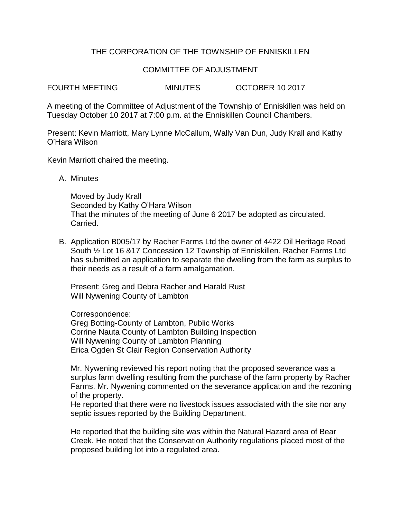# THE CORPORATION OF THE TOWNSHIP OF ENNISKILLEN

## COMMITTEE OF ADJUSTMENT

FOURTH MEETING MINUTES OCTOBER 10 2017

A meeting of the Committee of Adjustment of the Township of Enniskillen was held on Tuesday October 10 2017 at 7:00 p.m. at the Enniskillen Council Chambers.

Present: Kevin Marriott, Mary Lynne McCallum, Wally Van Dun, Judy Krall and Kathy O'Hara Wilson

Kevin Marriott chaired the meeting.

A. Minutes

Moved by Judy Krall Seconded by Kathy O'Hara Wilson That the minutes of the meeting of June 6 2017 be adopted as circulated. Carried.

B. Application B005/17 by Racher Farms Ltd the owner of 4422 Oil Heritage Road South ½ Lot 16 &17 Concession 12 Township of Enniskillen. Racher Farms Ltd has submitted an application to separate the dwelling from the farm as surplus to their needs as a result of a farm amalgamation.

Present: Greg and Debra Racher and Harald Rust Will Nywening County of Lambton

Correspondence:

Greg Botting-County of Lambton, Public Works Corrine Nauta County of Lambton Building Inspection Will Nywening County of Lambton Planning Erica Ogden St Clair Region Conservation Authority

Mr. Nywening reviewed his report noting that the proposed severance was a surplus farm dwelling resulting from the purchase of the farm property by Racher Farms. Mr. Nywening commented on the severance application and the rezoning of the property.

He reported that there were no livestock issues associated with the site nor any septic issues reported by the Building Department.

He reported that the building site was within the Natural Hazard area of Bear Creek. He noted that the Conservation Authority regulations placed most of the proposed building lot into a regulated area.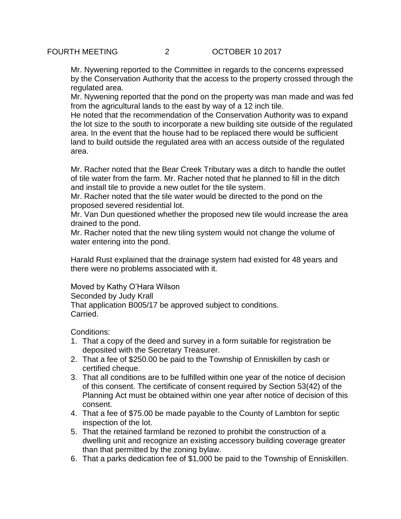Mr. Nywening reported to the Committee in regards to the concerns expressed by the Conservation Authority that the access to the property crossed through the regulated area.

Mr. Nywening reported that the pond on the property was man made and was fed from the agricultural lands to the east by way of a 12 inch tile.

He noted that the recommendation of the Conservation Authority was to expand the lot size to the south to incorporate a new building site outside of the regulated area. In the event that the house had to be replaced there would be sufficient land to build outside the regulated area with an access outside of the regulated area.

Mr. Racher noted that the Bear Creek Tributary was a ditch to handle the outlet of tile water from the farm. Mr. Racher noted that he planned to fill in the ditch and install tile to provide a new outlet for the tile system.

Mr. Racher noted that the tile water would be directed to the pond on the proposed severed residential lot.

Mr. Van Dun questioned whether the proposed new tile would increase the area drained to the pond.

Mr. Racher noted that the new tiling system would not change the volume of water entering into the pond.

Harald Rust explained that the drainage system had existed for 48 years and there were no problems associated with it.

Moved by Kathy O'Hara Wilson Seconded by Judy Krall That application B005/17 be approved subject to conditions. Carried.

Conditions:

- 1. That a copy of the deed and survey in a form suitable for registration be deposited with the Secretary Treasurer.
- 2. That a fee of \$250.00 be paid to the Township of Enniskillen by cash or certified cheque.
- 3. That all conditions are to be fulfilled within one year of the notice of decision of this consent. The certificate of consent required by Section 53(42) of the Planning Act must be obtained within one year after notice of decision of this consent.
- 4. That a fee of \$75.00 be made payable to the County of Lambton for septic inspection of the lot.
- 5. That the retained farmland be rezoned to prohibit the construction of a dwelling unit and recognize an existing accessory building coverage greater than that permitted by the zoning bylaw.
- 6. That a parks dedication fee of \$1,000 be paid to the Township of Enniskillen.